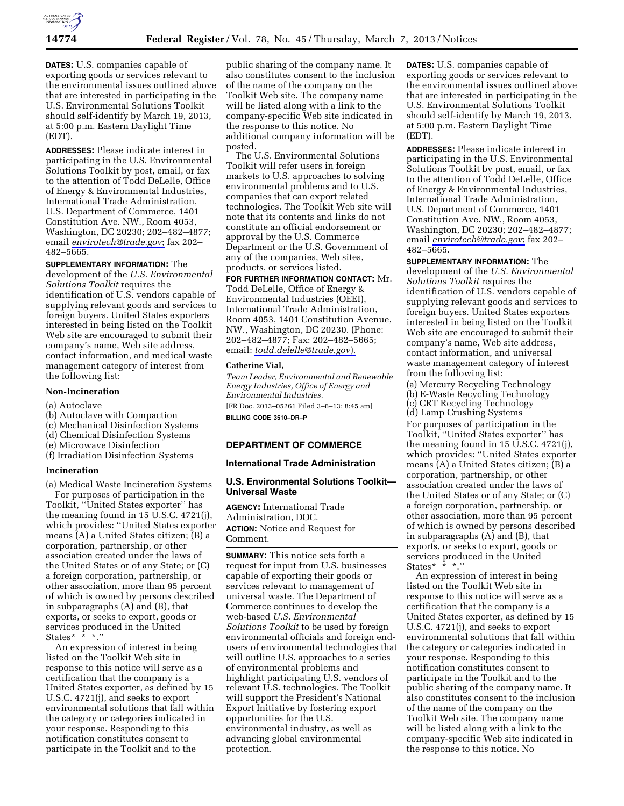

**DATES:** U.S. companies capable of exporting goods or services relevant to the environmental issues outlined above that are interested in participating in the U.S. Environmental Solutions Toolkit should self-identify by March 19, 2013, at 5:00 p.m. Eastern Daylight Time (EDT).

**ADDRESSES:** Please indicate interest in participating in the U.S. Environmental Solutions Toolkit by post, email, or fax to the attention of Todd DeLelle, Office of Energy & Environmental Industries, International Trade Administration, U.S. Department of Commerce, 1401 Constitution Ave. NW., Room 4053, Washington, DC 20230; 202–482–4877; email *[envirotech@trade.gov](mailto:envirotech@trade.gov)*; fax 202– 482–5665.

**SUPPLEMENTARY INFORMATION:** The development of the *U.S. Environmental Solutions Toolkit* requires the identification of U.S. vendors capable of supplying relevant goods and services to foreign buyers. United States exporters interested in being listed on the Toolkit Web site are encouraged to submit their company's name, Web site address, contact information, and medical waste management category of interest from the following list:

### **Non-Incineration**

- (a) Autoclave
- (b) Autoclave with Compaction
- (c) Mechanical Disinfection Systems
- (d) Chemical Disinfection Systems
- (e) Microwave Disinfection
- (f) Irradiation Disinfection Systems

## **Incineration**

(a) Medical Waste Incineration Systems For purposes of participation in the Toolkit, ''United States exporter'' has the meaning found in 15 U.S.C. 4721(j), which provides: ''United States exporter means (A) a United States citizen; (B) a corporation, partnership, or other association created under the laws of the United States or of any State; or (C) a foreign corporation, partnership, or other association, more than 95 percent of which is owned by persons described in subparagraphs (A) and (B), that exports, or seeks to export, goods or services produced in the United States\*  $\overline{\cdot}$  \*  $\overline{\cdot}$  ".

An expression of interest in being listed on the Toolkit Web site in response to this notice will serve as a certification that the company is a United States exporter, as defined by 15 U.S.C. 4721(j), and seeks to export environmental solutions that fall within the category or categories indicated in your response. Responding to this notification constitutes consent to participate in the Toolkit and to the

public sharing of the company name. It also constitutes consent to the inclusion of the name of the company on the Toolkit Web site. The company name will be listed along with a link to the company-specific Web site indicated in the response to this notice. No additional company information will be posted.

The U.S. Environmental Solutions Toolkit will refer users in foreign markets to U.S. approaches to solving environmental problems and to U.S. companies that can export related technologies. The Toolkit Web site will note that its contents and links do not constitute an official endorsement or approval by the U.S. Commerce Department or the U.S. Government of any of the companies, Web sites, products, or services listed.

**FOR FURTHER INFORMATION CONTACT:** Mr. Todd DeLelle, Office of Energy & Environmental Industries (OEEI), International Trade Administration, Room 4053, 1401 Constitution Avenue, NW., Washington, DC 20230. (Phone: 202–482–4877; Fax: 202–482–5665;

### **Catherine Vial,**

*Team Leader, Environmental and Renewable Energy Industries, Office of Energy and Environmental Industries.* 

[FR Doc. 2013–05261 Filed 3–6–13; 8:45 am] **BILLING CODE 3510–DR–P** 

email: *[todd.delelle@trade.gov](mailto:todd.delelle@trade.gov)*).

## **DEPARTMENT OF COMMERCE**

### **International Trade Administration**

## **U.S. Environmental Solutions Toolkit— Universal Waste**

**AGENCY:** International Trade Administration, DOC. **ACTION:** Notice and Request for Comment.

**SUMMARY:** This notice sets forth a request for input from U.S. businesses capable of exporting their goods or services relevant to management of universal waste. The Department of Commerce continues to develop the web-based *U.S. Environmental Solutions Toolkit* to be used by foreign environmental officials and foreign endusers of environmental technologies that will outline U.S. approaches to a series of environmental problems and highlight participating U.S. vendors of relevant U.S. technologies. The Toolkit will support the President's National Export Initiative by fostering export opportunities for the U.S. environmental industry, as well as advancing global environmental protection.

**DATES:** U.S. companies capable of exporting goods or services relevant to the environmental issues outlined above that are interested in participating in the U.S. Environmental Solutions Toolkit should self-identify by March 19, 2013, at 5:00 p.m. Eastern Daylight Time (EDT).

**ADDRESSES:** Please indicate interest in participating in the U.S. Environmental Solutions Toolkit by post, email, or fax to the attention of Todd DeLelle, Office of Energy & Environmental Industries, International Trade Administration, U.S. Department of Commerce, 1401 Constitution Ave. NW., Room 4053, Washington, DC 20230; 202–482–4877; email *[envirotech@trade.gov](mailto:envirotech@trade.gov)*; fax 202– 482–5665.

**SUPPLEMENTARY INFORMATION:** The development of the *U.S. Environmental Solutions Toolkit* requires the identification of U.S. vendors capable of supplying relevant goods and services to foreign buyers. United States exporters interested in being listed on the Toolkit Web site are encouraged to submit their company's name, Web site address, contact information, and universal waste management category of interest from the following list:

(a) Mercury Recycling Technology (b) E-Waste Recycling Technology (c) CRT Recycling Technology (d) Lamp Crushing Systems For purposes of participation in the Toolkit, ''United States exporter'' has the meaning found in 15 U.S.C. 4721(j), which provides: ''United States exporter means (A) a United States citizen; (B) a corporation, partnership, or other association created under the laws of the United States or of any State; or (C) a foreign corporation, partnership, or other association, more than 95 percent of which is owned by persons described in subparagraphs (A) and (B), that exports, or seeks to export, goods or services produced in the United States\* \* \*.''

An expression of interest in being listed on the Toolkit Web site in response to this notice will serve as a certification that the company is a United States exporter, as defined by 15 U.S.C. 4721(j), and seeks to export environmental solutions that fall within the category or categories indicated in your response. Responding to this notification constitutes consent to participate in the Toolkit and to the public sharing of the company name. It also constitutes consent to the inclusion of the name of the company on the Toolkit Web site. The company name will be listed along with a link to the company-specific Web site indicated in the response to this notice. No